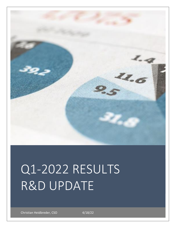

# Q1-2022 RESULTS R&D UPDATE

Christian Heidbreder, CSO 4/18/22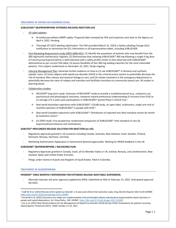## **TREATMENT OF OPIOID USE DISORDER (OUD)**

## **SUBLOCADE® (BUPRENORPHINE EXTENDED-RELEASE) INJECTION (US)**

- US Label updates:
	- → *N-methyl-pyrrolidone (NMP) safety:* Proposed label reviewed by FDA and responses sent back to the Agency on April 4, 2022. Pending.
	- → *Thorough QT (tQT) labeling information:* The FDA provided (March 31, 2022) a Safety Labelling Change (SLC) notification to harmonize the QTc information in all buprenorphine labels, including SUBLOCADE.
- Post Marketing Requirement study (INDV-6000-401): (1) Identify the population of patients who may benefit from the 300 mg/month maintenance regimen; (2) Demonstrate that initiating SUBLOCADE® 300 mg following a single 4 mg dose of transmucosal buprenorphine is well-tolerated with a safety profile similar to that observed with SUBLOCADE® administered as per current FDA label; (3) Assess feasibility of fast 300 mg loading induction for the most vulnerable patients. First subject randomized on December 23, 2021. Study ongoing.
- Lifecycle Management Plan: Generate further evidence on how to (1) use SUBLOCADE® in fentanyl and synthetic opioids' users: (2) treat subjects with opioid use disorder (OUD) in the criminal justice system to potentially decrease the risk of overdose after release and improve linkage to care, and (3) initiate treatment in the emergency department to potentially decrease the rates of relapse and overdose and facilitate transitions to community-based care. All studies in planning phase.
- Collaboration studies:
	- → *RECOVER® long-term study*: Extension of RECOVER® study to provide a multidimensional (e.g., substance use, psychosocial and physiological outcomes, temporal reward preference) understanding of recovery from OUD at an average of 4.2 years post-participation in SUBLOCADE® pivotal Phase 3 clinical trial.<sup>1</sup>
	- → *Real world Australian experience with SUBLOCADE®*: COLAB study, an open-label, multicentre, single-arm trial of monthly injections of SUBLOCADE® in people with OUD.<sup>2</sup>
	- → *Real world Canadian experience with SUBLOCADE®*: Distribution of reported non-fatal overdose events by month & treatment cohort.<sup>3</sup>
	- → *EU EXPO study*: First prospective randomized comparison of SUBLOCADE® with standard of care (SL buprenorphine/naloxone and methadone).

## **SUBUTEX® PROLONGED-RELEASE SOLUTION FOR INJECTION (ex-US):**

- Regulatory approvals granted in 10 countries including Canada, Australia, New Zealand, Israel, Sweden, Finland, Denmark, Norway, Germany, and Italy.
- Marketing Authorisation Application in Switzerland deemed approvable. Waiting for MHRA feedback in the UK.

# **SUBOXONE® (BUPRENORPHINE / NALOXONE) FILM:**

- Regulatory Approvals granted in Canada, Israel, all EU Member States (+ UK, Iceland, Norway, and Liechtenstein), New Zealand, Qatar and United Arabic Emirates.
- Filings under review in Kuwait and Kingdom of Saudi Arabia. Filed in Colombia.

## **TREATMENT OF SCHIZOPHRENIA**

## **PERSERIS™ ONCE MONTHLY RISPERIDONE FOR EXTENDED-RELEASE INJECTABLE SUSPENSION:**

- Alternate injection site prior approval supplement (PAS): Submitted to FDA on February 15, 2022. Anticipated approval Q4-2022.

<sup>1</sup> *Craft W et al. (2022) Recovery from opioid use disorder: a 4-year post-clinical trial outcomes study. Drug Alcohol Depend. Mar 9;234:109389. <https://doi.org/10.1016/j.drugalcdep.2022.109389>*

<sup>2</sup> *Farrell M et al. (2022) Outcomes of a single-arm implementation trial of extended-release subcutaneous buprenorphine depot injections in people with opioid dependence. Int J Drug Policy, 100: 103492[. https://doi.org/10.1016/j.drugpo.2021.103492](https://doi.org/10.1016/j.drugpo.2021.103492)*

<sup>3</sup> *Lee et al. (2021) Real-World Evidence for the Management of Opioid Use Disorder (OUD) During COVID-19 pandemic for patients receiving Opioid Agonist Treatment (OAT)¸ CSAM, October 21-23, 2021*